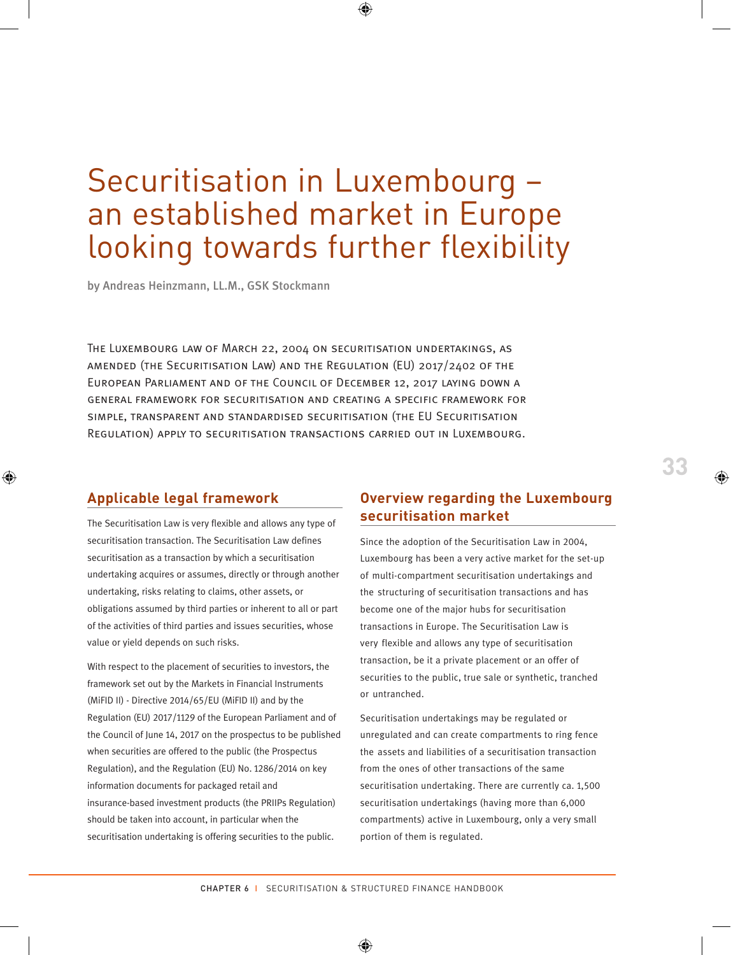# Securitisation in Luxembourg – an established market in Europe looking towards further flexibility

by Andreas Heinzmann, LL.M., GSK Stockmann

The Luxembourg law of March 22, 2004 on securitisation undertakings, as amended (the Securitisation Law) and the Regulation (EU) 2017/2402 of the European Parliament and of the Council of December 12, 2017 laying down a general framework for securitisation and creating a specific framework for simple, transparent and standardised securitisation (the EU Securitisation Regulation) apply to securitisation transactions carried out in Luxembourg.

#### **Applicable legal framework**

The Securitisation Law is very flexible and allows any type of securitisation transaction. The Securitisation Law defines securitisation as a transaction by which a securitisation undertaking acquires or assumes, directly or through another undertaking, risks relating to claims, other assets, or obligations assumed by third parties or inherent to all or part of the activities of third parties and issues securities, whose value or yield depends on such risks.

With respect to the placement of securities to investors, the framework set out by the Markets in Financial Instruments (MiFID II) - Directive 2014/65/EU (MiFID II) and by the Regulation (EU) 2017/1129 of the European Parliament and of the Council of June 14, 2017 on the prospectus to be published when securities are offered to the public (the Prospectus Regulation), and the Regulation (EU) No. 1286/2014 on key information documents for packaged retail and insurance-based investment products (the PRIIPs Regulation) should be taken into account, in particular when the securitisation undertaking is offering securities to the public.

#### **Overview regarding the Luxembourg securitisation market**

Since the adoption of the Securitisation Law in 2004, Luxembourg has been a very active market for the set-up of multi-compartment securitisation undertakings and the structuring of securitisation transactions and has become one of the major hubs for securitisation transactions in Europe. The Securitisation Law is very flexible and allows any type of securitisation transaction, be it a private placement or an offer of securities to the public, true sale or synthetic, tranched or untranched.

Securitisation undertakings may be regulated or unregulated and can create compartments to ring fence the assets and liabilities of a securitisation transaction from the ones of other transactions of the same securitisation undertaking. There are currently ca. 1,500 securitisation undertakings (having more than 6,000 compartments) active in Luxembourg, only a very small portion of them is regulated.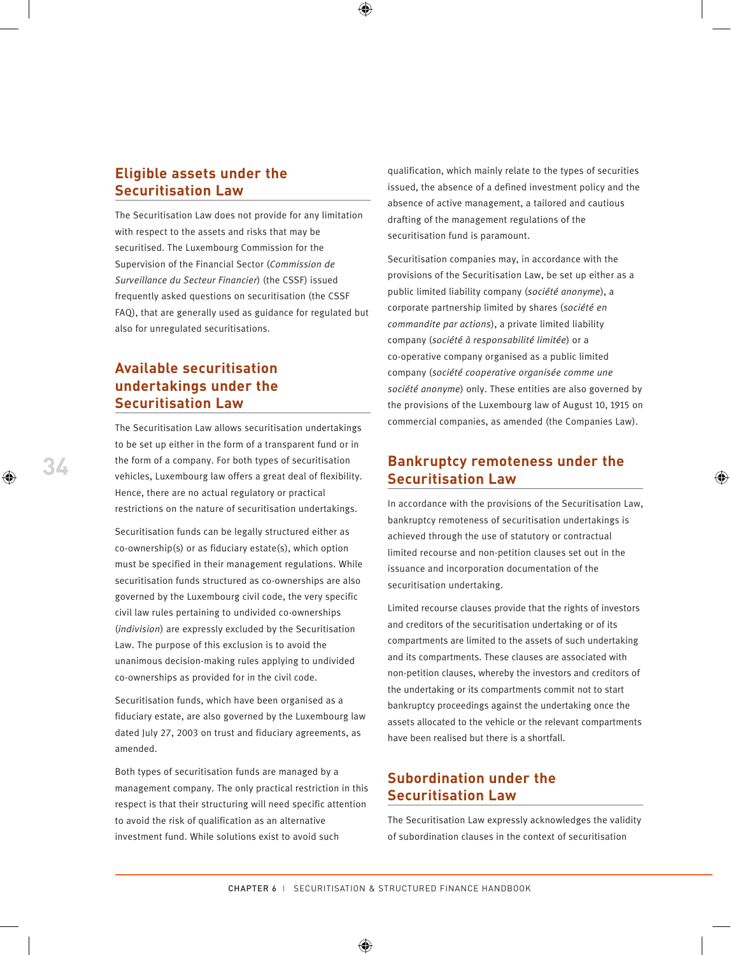#### **Eligible assets under the Securitisation Law**

The Securitisation Law does not provide for any limitation with respect to the assets and risks that may be securitised. The Luxembourg Commission for the Supervision of the Financial Sector (*Commission de Surveillance du Secteur Financier*) (the CSSF) issued frequently asked questions on securitisation (the CSSF FAQ), that are generally used as guidance for regulated but also for unregulated securitisations.

# **Available securitisation undertakings under the Securitisation Law**

The Securitisation Law allows securitisation undertakings to be set up either in the form of a transparent fund or in the form of a company. For both types of securitisation vehicles, Luxembourg law offers a great deal of flexibility. Hence, there are no actual regulatory or practical restrictions on the nature of securitisation undertakings.

Securitisation funds can be legally structured either as co-ownership(s) or as fiduciary estate(s), which option must be specified in their management regulations. While securitisation funds structured as co-ownerships are also governed by the Luxembourg civil code, the very specific civil law rules pertaining to undivided co-ownerships (*indivision*) are expressly excluded by the Securitisation Law. The purpose of this exclusion is to avoid the unanimous decision-making rules applying to undivided co-ownerships as provided for in the civil code.

Securitisation funds, which have been organised as a fiduciary estate, are also governed by the Luxembourg law dated July 27, 2003 on trust and fiduciary agreements, as amended.

Both types of securitisation funds are managed by a management company. The only practical restriction in this respect is that their structuring will need specific attention to avoid the risk of qualification as an alternative investment fund. While solutions exist to avoid such

qualification, which mainly relate to the types of securities issued, the absence of a defined investment policy and the absence of active management, a tailored and cautious drafting of the management regulations of the securitisation fund is paramount.

Securitisation companies may, in accordance with the provisions of the Securitisation Law, be set up either as a public limited liability company (*société anonyme*), a corporate partnership limited by shares (*société en commandite par actions*), a private limited liability company (*société à responsabilité limitée*) or a co-operative company organised as a public limited company (*société cooperative organisée comme une société anonyme*) only. These entities are also governed by the provisions of the Luxembourg law of August 10, 1915 on commercial companies, as amended (the Companies Law).

#### **Bankruptcy remoteness under the Securitisation Law**

In accordance with the provisions of the Securitisation Law, bankruptcy remoteness of securitisation undertakings is achieved through the use of statutory or contractual limited recourse and non-petition clauses set out in the issuance and incorporation documentation of the securitisation undertaking.

Limited recourse clauses provide that the rights of investors and creditors of the securitisation undertaking or of its compartments are limited to the assets of such undertaking and its compartments. These clauses are associated with non-petition clauses, whereby the investors and creditors of the undertaking or its compartments commit not to start bankruptcy proceedings against the undertaking once the assets allocated to the vehicle or the relevant compartments have been realised but there is a shortfall.

## **Subordination under the Securitisation Law**

The Securitisation Law expressly acknowledges the validity of subordination clauses in the context of securitisation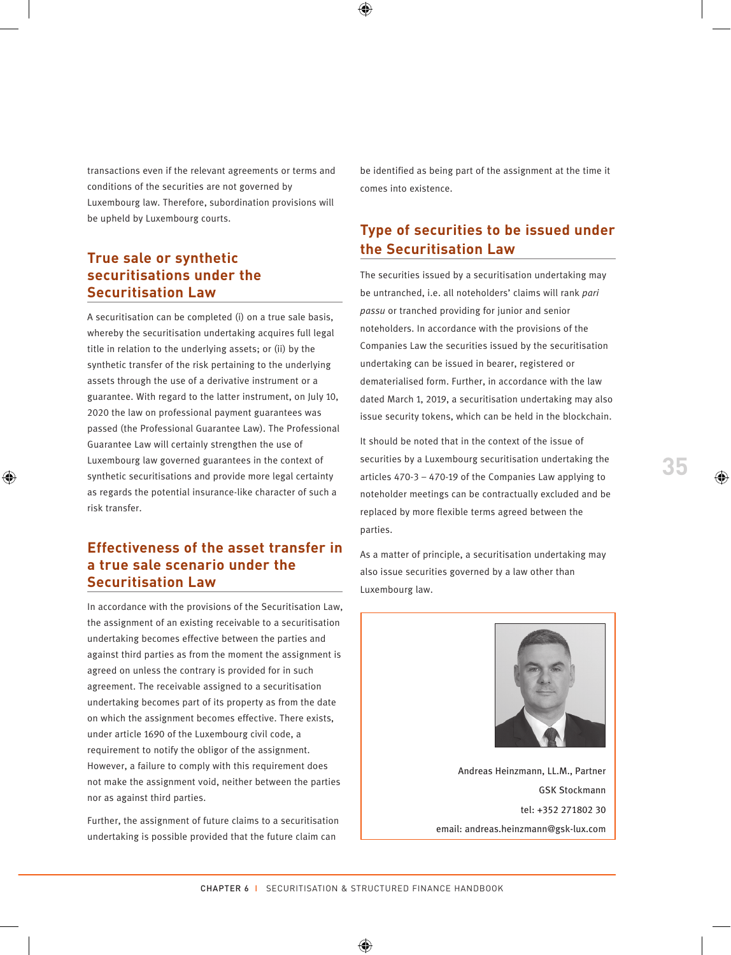transactions even if the relevant agreements or terms and conditions of the securities are not governed by Luxembourg law. Therefore, subordination provisions will be upheld by Luxembourg courts.

#### **True sale or synthetic securitisations under the Securitisation Law**

A securitisation can be completed (i) on a true sale basis, whereby the securitisation undertaking acquires full legal title in relation to the underlying assets; or (ii) by the synthetic transfer of the risk pertaining to the underlying assets through the use of a derivative instrument or a guarantee. With regard to the latter instrument, on July 10, 2020 the law on professional payment guarantees was passed (the Professional Guarantee Law). The Professional Guarantee Law will certainly strengthen the use of Luxembourg law governed guarantees in the context of synthetic securitisations and provide more legal certainty as regards the potential insurance-like character of such a risk transfer.

#### **Effectiveness of the asset transfer in a true sale scenario under the Securitisation Law**

In accordance with the provisions of the Securitisation Law, the assignment of an existing receivable to a securitisation undertaking becomes effective between the parties and against third parties as from the moment the assignment is agreed on unless the contrary is provided for in such agreement. The receivable assigned to a securitisation undertaking becomes part of its property as from the date on which the assignment becomes effective. There exists, under article 1690 of the Luxembourg civil code, a requirement to notify the obligor of the assignment. However, a failure to comply with this requirement does not make the assignment void, neither between the parties nor as against third parties.

Further, the assignment of future claims to a securitisation undertaking is possible provided that the future claim can

be identified as being part of the assignment at the time it comes into existence.

# **Type of securities to be issued under the Securitisation Law**

The securities issued by a securitisation undertaking may be untranched, i.e. all noteholders' claims will rank *pari passu* or tranched providing for junior and senior noteholders. In accordance with the provisions of the Companies Law the securities issued by the securitisation undertaking can be issued in bearer, registered or dematerialised form. Further, in accordance with the law dated March 1, 2019, a securitisation undertaking may also issue security tokens, which can be held in the blockchain.

It should be noted that in the context of the issue of securities by a Luxembourg securitisation undertaking the articles 470-3 – 470-19 of the Companies Law applying to noteholder meetings can be contractually excluded and be replaced by more flexible terms agreed between the parties.

As a matter of principle, a securitisation undertaking may also issue securities governed by a law other than Luxembourg law.



Andreas Heinzmann, LL.M., Partner GSK Stockmann tel: +352 271802 30 email: andreas.heinzmann@gsk-lux.com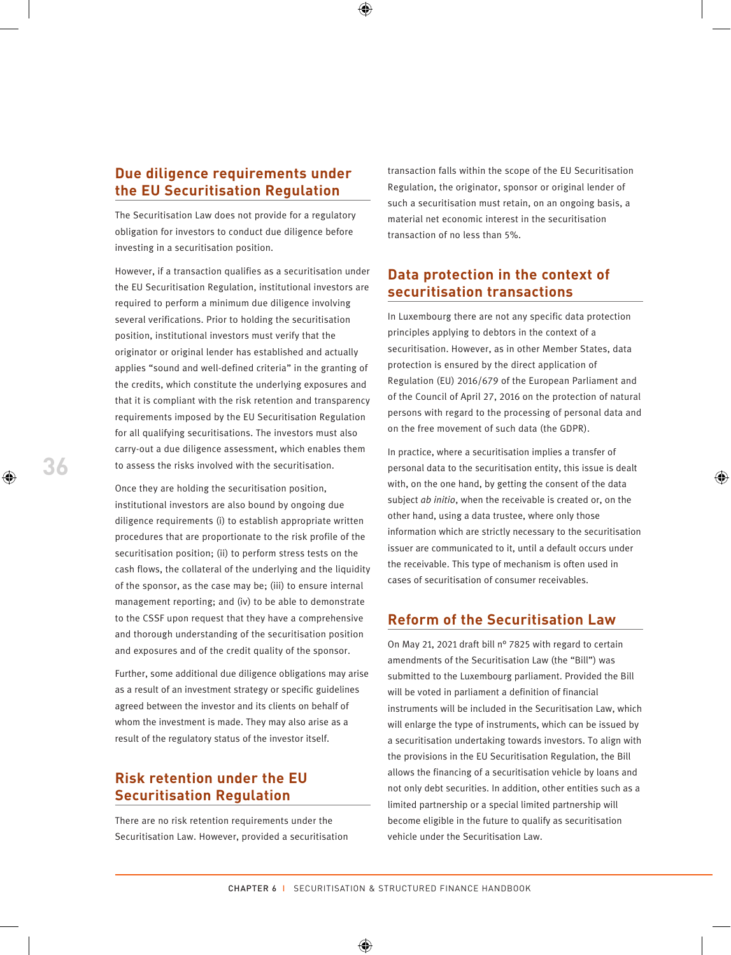#### **Due diligence requirements under the EU Securitisation Regulation**

The Securitisation Law does not provide for a regulatory obligation for investors to conduct due diligence before investing in a securitisation position.

However, if a transaction qualifies as a securitisation under the EU Securitisation Regulation, institutional investors are required to perform a minimum due diligence involving several verifications. Prior to holding the securitisation position, institutional investors must verify that the originator or original lender has established and actually applies "sound and well-defined criteria" in the granting of the credits, which constitute the underlying exposures and that it is compliant with the risk retention and transparency requirements imposed by the EU Securitisation Regulation for all qualifying securitisations. The investors must also carry-out a due diligence assessment, which enables them to assess the risks involved with the securitisation.

Once they are holding the securitisation position, institutional investors are also bound by ongoing due diligence requirements (i) to establish appropriate written procedures that are proportionate to the risk profile of the securitisation position; (ii) to perform stress tests on the cash flows, the collateral of the underlying and the liquidity of the sponsor, as the case may be; (iii) to ensure internal management reporting; and (iv) to be able to demonstrate to the CSSF upon request that they have a comprehensive and thorough understanding of the securitisation position and exposures and of the credit quality of the sponsor.

Further, some additional due diligence obligations may arise as a result of an investment strategy or specific guidelines agreed between the investor and its clients on behalf of whom the investment is made. They may also arise as a result of the regulatory status of the investor itself.

#### **Risk retention under the EU Securitisation Regulation**

There are no risk retention requirements under the Securitisation Law. However, provided a securitisation transaction falls within the scope of the EU Securitisation Regulation, the originator, sponsor or original lender of such a securitisation must retain, on an ongoing basis, a material net economic interest in the securitisation transaction of no less than 5%.

#### **Data protection in the context of securitisation transactions**

In Luxembourg there are not any specific data protection principles applying to debtors in the context of a securitisation. However, as in other Member States, data protection is ensured by the direct application of Regulation (EU) 2016/679 of the European Parliament and of the Council of April 27, 2016 on the protection of natural persons with regard to the processing of personal data and on the free movement of such data (the GDPR).

In practice, where a securitisation implies a transfer of personal data to the securitisation entity, this issue is dealt with, on the one hand, by getting the consent of the data subject *ab initio*, when the receivable is created or, on the other hand, using a data trustee, where only those information which are strictly necessary to the securitisation issuer are communicated to it, until a default occurs under the receivable. This type of mechanism is often used in cases of securitisation of consumer receivables.

#### **Reform of the Securitisation Law**

On May 21, 2021 draft bill n° 7825 with regard to certain amendments of the Securitisation Law (the "Bill") was submitted to the Luxembourg parliament. Provided the Bill will be voted in parliament a definition of financial instruments will be included in the Securitisation Law, which will enlarge the type of instruments, which can be issued by a securitisation undertaking towards investors. To align with the provisions in the EU Securitisation Regulation, the Bill allows the financing of a securitisation vehicle by loans and not only debt securities. In addition, other entities such as a limited partnership or a special limited partnership will become eligible in the future to qualify as securitisation vehicle under the Securitisation Law.